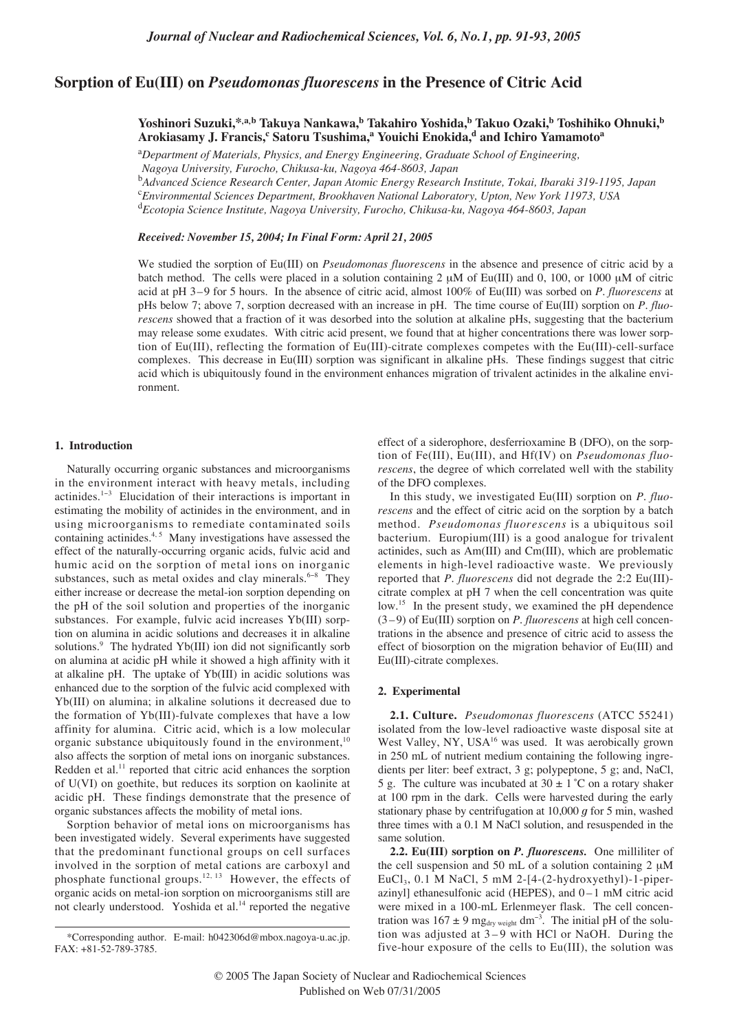# **Sorption of Eu(III) on** *Pseudomonas fluorescens* **in the Presence of Citric Acid**

**Yoshinori Suzuki,\*,a,b Takuya Nankawa,b Takahiro Yoshida,b Takuo Ozaki,b Toshihiko Ohnuki,b**  $\bold{A}$ rokiasamy J. Francis, $^{\mathrm{c}}$  Satoru Tsushima, $^{\mathrm{a}}$  Youichi Enokida, $^{\mathrm{d}}$  and Ichiro Yamamoto $^{\mathrm{a}}$ 

<sup>a</sup>Department of Materials, Physics, and Energy Engineering, Graduate School of Engineering, *Nagoya University, Furocho, Chikusa-ku, Nagoya 464-8603, Japan*

b *Advanced Science Research Center, Japan Atomic Energy Research Institute, Tokai, Ibaraki 319-1195, Japan* c *Environmental Sciences Department, Brookhaven National Laboratory, Upton, New York 11973, USA*

d *Ecotopia Science Institute, Nagoya University, Furocho, Chikusa-ku, Nagoya 464-8603, Japan*

*Received: November 15, 2004; In Final Form: April 21, 2005*

We studied the sorption of Eu(III) on *Pseudomonas fluorescens* in the absence and presence of citric acid by a batch method. The cells were placed in a solution containing 2  $\mu$ M of Eu(III) and 0, 100, or 1000  $\mu$ M of citric acid at pH 3–9 for 5 hours. In the absence of citric acid, almost 100% of Eu(III) was sorbed on *P. fluorescens* at pHs below 7; above 7, sorption decreased with an increase in pH. The time course of Eu(III) sorption on *P. fluorescens* showed that a fraction of it was desorbed into the solution at alkaline pHs, suggesting that the bacterium may release some exudates. With citric acid present, we found that at higher concentrations there was lower sorption of Eu(III), reflecting the formation of Eu(III)-citrate complexes competes with the Eu(III)-cell-surface complexes. This decrease in Eu(III) sorption was significant in alkaline pHs. These findings suggest that citric acid which is ubiquitously found in the environment enhances migration of trivalent actinides in the alkaline environment.

# **1. Introduction**

Naturally occurring organic substances and microorganisms in the environment interact with heavy metals, including actinides.1−<sup>3</sup> Elucidation of their interactions is important in estimating the mobility of actinides in the environment, and in using microorganisms to remediate contaminated soils containing actinides.<sup>4, 5</sup> Many investigations have assessed the effect of the naturally-occurring organic acids, fulvic acid and humic acid on the sorption of metal ions on inorganic substances, such as metal oxides and clay minerals.<sup>6-8</sup> They either increase or decrease the metal-ion sorption depending on the pH of the soil solution and properties of the inorganic substances. For example, fulvic acid increases Yb(III) sorption on alumina in acidic solutions and decreases it in alkaline solutions.<sup>9</sup> The hydrated Yb(III) ion did not significantly sorb on alumina at acidic pH while it showed a high affinity with it at alkaline pH. The uptake of Yb(III) in acidic solutions was enhanced due to the sorption of the fulvic acid complexed with Yb(III) on alumina; in alkaline solutions it decreased due to the formation of Yb(III)-fulvate complexes that have a low affinity for alumina. Citric acid, which is a low molecular organic substance ubiquitously found in the environment, $<sup>1</sup>$ </sup> also affects the sorption of metal ions on inorganic substances. Redden et al.<sup>11</sup> reported that citric acid enhances the sorption of U(VI) on goethite, but reduces its sorption on kaolinite at acidic pH. These findings demonstrate that the presence of organic substances affects the mobility of metal ions.

Sorption behavior of metal ions on microorganisms has been investigated widely. Several experiments have suggested that the predominant functional groups on cell surfaces involved in the sorption of metal cations are carboxyl and phosphate functional groups.<sup>12, 13</sup> However, the effects of organic acids on metal-ion sorption on microorganisms still are not clearly understood. Yoshida et al.<sup>14</sup> reported the negative effect of a siderophore, desferrioxamine B (DFO), on the sorption of Fe(III), Eu(III), and Hf(IV) on *Pseudomonas fluorescens*, the degree of which correlated well with the stability of the DFO complexes.

In this study, we investigated Eu(III) sorption on *P. fluorescens* and the effect of citric acid on the sorption by a batch method. *Pseudomonas fluorescens* is a ubiquitous soil bacterium. Europium(III) is a good analogue for trivalent actinides, such as Am(III) and Cm(III), which are problematic elements in high-level radioactive waste. We previously reported that *P. fluorescens* did not degrade the 2:2 Eu(III) citrate complex at pH 7 when the cell concentration was quite low.<sup>15</sup> In the present study, we examined the pH dependence (3 – 9) of Eu(III) sorption on *P. fluorescens* at high cell concentrations in the absence and presence of citric acid to assess the effect of biosorption on the migration behavior of Eu(III) and Eu(III)-citrate complexes.

## **2. Experimental**

**2.1. Culture.** *Pseudomonas fluorescens* (ATCC 55241) isolated from the low-level radioactive waste disposal site at West Valley, NY, USA<sup>16</sup> was used. It was aerobically grown in 250 mL of nutrient medium containing the following ingredients per liter: beef extract, 3 g; polypeptone, 5 g; and, NaCl, 5 g. The culture was incubated at  $30 \pm 1$  °C on a rotary shaker at 100 rpm in the dark. Cells were harvested during the early stationary phase by centrifugation at 10,000 *g* for 5 min, washed three times with a 0.1 M NaCl solution, and resuspended in the same solution.

**2.2. Eu(III) sorption on** *P. fluorescens.* One milliliter of the cell suspension and 50 mL of a solution containing  $2 \mu M$ EuCl<sub>3</sub>, 0.1 M NaCl, 5 mM 2-[4-(2-hydroxyethyl)-1-piperazinyl] ethanesulfonic acid (HEPES), and 0-1 mM citric acid were mixed in a 100-mL Erlenmeyer flask. The cell concentration was  $167 \pm 9$  mg<sub>dry weight</sub> dm<sup>-3</sup>. The initial pH of the solution was adjusted at  $3-9$  with HCl or NaOH. During the five-hour exposure of the cells to Eu(III), the solution was

<sup>\*</sup>Corresponding author. E-mail: h042306d@mbox.nagoya-u.ac.jp. FAX: +81-52-789-3785.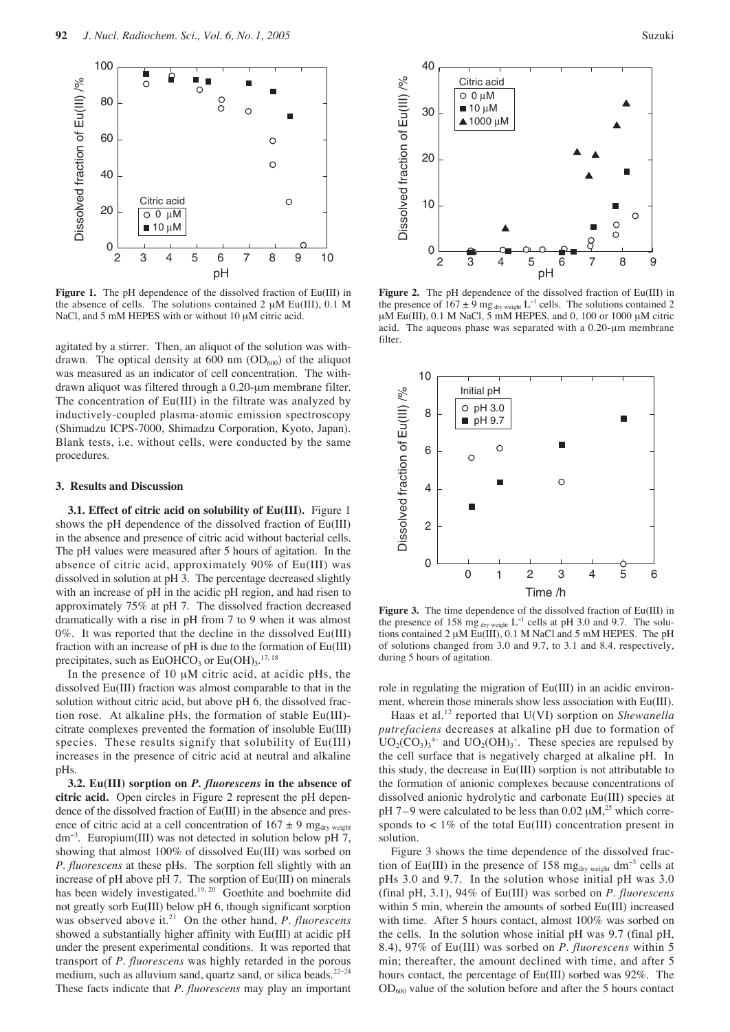

**Figure 1.** The pH dependence of the dissolved fraction of Eu(III) in the absence of cells. The solutions contained  $2 \mu M$  Eu(III), 0.1 M NaCl, and 5 mM HEPES with or without 10 µM citric acid.

agitated by a stirrer. Then, an aliquot of the solution was withdrawn. The optical density at 600 nm  $(OD<sub>600</sub>)$  of the aliquot was measured as an indicator of cell concentration. The withdrawn aliquot was filtered through a 0.20-µm membrane filter. The concentration of Eu(III) in the filtrate was analyzed by inductively-coupled plasma-atomic emission spectroscopy (Shimadzu ICPS-7000, Shimadzu Corporation, Kyoto, Japan). Blank tests, i.e. without cells, were conducted by the same procedures.

# **3. Results and Discussion**

**3.1. Effect of citric acid on solubility of Eu(III).** Figure 1 shows the pH dependence of the dissolved fraction of Eu(III) in the absence and presence of citric acid without bacterial cells. The pH values were measured after 5 hours of agitation. In the absence of citric acid, approximately 90% of Eu(III) was dissolved in solution at pH 3. The percentage decreased slightly with an increase of pH in the acidic pH region, and had risen to approximately 75% at pH 7. The dissolved fraction decreased dramatically with a rise in pH from 7 to 9 when it was almost 0%. It was reported that the decline in the dissolved Eu(III) fraction with an increase of pH is due to the formation of Eu(III) precipitates, such as  $EuOHCO<sub>3</sub>$  or  $Eu(OH)<sub>3</sub>$ .<sup>17, 18</sup>

In the presence of 10 µM citric acid, at acidic pHs, the dissolved Eu(III) fraction was almost comparable to that in the solution without citric acid, but above pH 6, the dissolved fraction rose. At alkaline pHs, the formation of stable Eu(III) citrate complexes prevented the formation of insoluble Eu(III) species. These results signify that solubility of Eu(III) increases in the presence of citric acid at neutral and alkaline pHs.

**3.2. Eu(III) sorption on** *P. fluorescens* **in the absence of citric acid.** Open circles in Figure 2 represent the pH dependence of the dissolved fraction of Eu(III) in the absence and presence of citric acid at a cell concentration of  $167 \pm 9$  mg<sub>dry weight</sub> dm<sup>−</sup><sup>3</sup> . Europium(III) was not detected in solution below pH 7, showing that almost 100% of dissolved Eu(III) was sorbed on *P. fluorescens* at these pHs. The sorption fell slightly with an increase of pH above pH 7. The sorption of Eu(III) on minerals has been widely investigated.<sup>19, 20</sup> Goethite and boehmite did not greatly sorb Eu(III) below pH 6, though significant sorption was observed above it.<sup>21</sup> On the other hand, *P. fluorescens* showed a substantially higher affinity with Eu(III) at acidic pH under the present experimental conditions. It was reported that transport of *P. fluorescens* was highly retarded in the porous medium, such as alluvium sand, quartz sand, or silica beads.<sup>22−24</sup> These facts indicate that *P. fluorescens* may play an important



**Figure 2.** The pH dependence of the dissolved fraction of Eu(III) in the presence of  $167 \pm 9$  mg <sub>dry weight</sub> L<sup>-1</sup> cells. The solutions contained 2 µM Eu(III), 0.1 M NaCl, 5 mM HEPES, and 0, 100 or 1000 µM citric acid. The aqueous phase was separated with a  $0.20$ - $\mu$ m membrane filter.



**Figure 3.** The time dependence of the dissolved fraction of Eu(III) in the presence of 158 mg  $_{\text{dry weight}}$  L<sup>-1</sup> cells at pH 3.0 and 9.7. The solutions contained 2 µM Eu(III), 0.1 M NaCl and 5 mM HEPES. The pH of solutions changed from 3.0 and 9.7, to 3.1 and 8.4, respectively, during 5 hours of agitation.

role in regulating the migration of Eu(III) in an acidic environment, wherein those minerals show less association with Eu(III).

Haas et al.<sup>12</sup> reported that U(VI) sorption on *Shewanella putrefaciens* decreases at alkaline pH due to formation of  $UO_2(CO_3)_3^4$  and  $UO_2(OH)_3$ . These species are repulsed by the cell surface that is negatively charged at alkaline pH. In this study, the decrease in Eu(III) sorption is not attributable to the formation of anionic complexes because concentrations of dissolved anionic hydrolytic and carbonate Eu(III) species at pH 7–9 were calculated to be less than 0.02  $\mu$ M,<sup>25</sup> which corresponds to  $\langle 1\%$  of the total Eu(III) concentration present in solution.

Figure 3 shows the time dependence of the dissolved fraction of Eu(III) in the presence of 158 mg<sub>dry weight</sub> dm<sup>-3</sup> cells at pHs 3.0 and 9.7. In the solution whose initial pH was 3.0 (final pH, 3.1), 94% of Eu(III) was sorbed on *P. fluorescens* within 5 min, wherein the amounts of sorbed Eu(III) increased with time. After 5 hours contact, almost 100% was sorbed on the cells. In the solution whose initial pH was 9.7 (final pH, 8.4), 97% of Eu(III) was sorbed on *P. fluorescens* within 5 min; thereafter, the amount declined with time, and after 5 hours contact, the percentage of Eu(III) sorbed was 92%. The  $OD_{600}$  value of the solution before and after the 5 hours contact